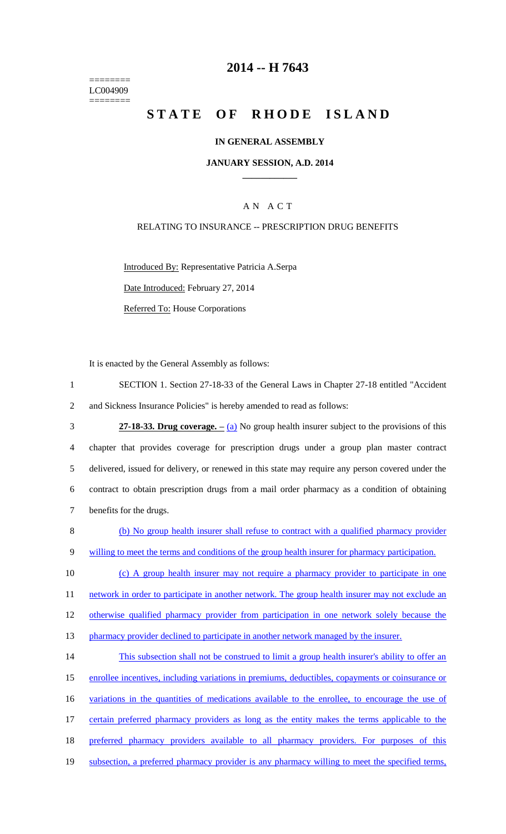======== LC004909 ========

### **2014 -- H 7643**

# STATE OF RHODE ISLAND

#### **IN GENERAL ASSEMBLY**

#### **JANUARY SESSION, A.D. 2014 \_\_\_\_\_\_\_\_\_\_\_\_**

### A N A C T

#### RELATING TO INSURANCE -- PRESCRIPTION DRUG BENEFITS

Introduced By: Representative Patricia A.Serpa

Date Introduced: February 27, 2014

Referred To: House Corporations

It is enacted by the General Assembly as follows:

| SECTION 1. Section 27-18-33 of the General Laws in Chapter 27-18 entitled "Accident" |
|--------------------------------------------------------------------------------------|
| and Sickness Insurance Policies" is hereby amended to read as follows:               |

 **27-18-33. Drug coverage. –** (a) No group health insurer subject to the provisions of this chapter that provides coverage for prescription drugs under a group plan master contract delivered, issued for delivery, or renewed in this state may require any person covered under the contract to obtain prescription drugs from a mail order pharmacy as a condition of obtaining benefits for the drugs.

8 (b) No group health insurer shall refuse to contract with a qualified pharmacy provider 9 willing to meet the terms and conditions of the group health insurer for pharmacy participation.

10 (c) A group health insurer may not require a pharmacy provider to participate in one 11 network in order to participate in another network. The group health insurer may not exclude an 12 otherwise qualified pharmacy provider from participation in one network solely because the 13 pharmacy provider declined to participate in another network managed by the insurer.

14 This subsection shall not be construed to limit a group health insurer's ability to offer an 15 enrollee incentives, including variations in premiums, deductibles, copayments or coinsurance or 16 variations in the quantities of medications available to the enrollee, to encourage the use of 17 certain preferred pharmacy providers as long as the entity makes the terms applicable to the 18 preferred pharmacy providers available to all pharmacy providers. For purposes of this 19 subsection, a preferred pharmacy provider is any pharmacy willing to meet the specified terms,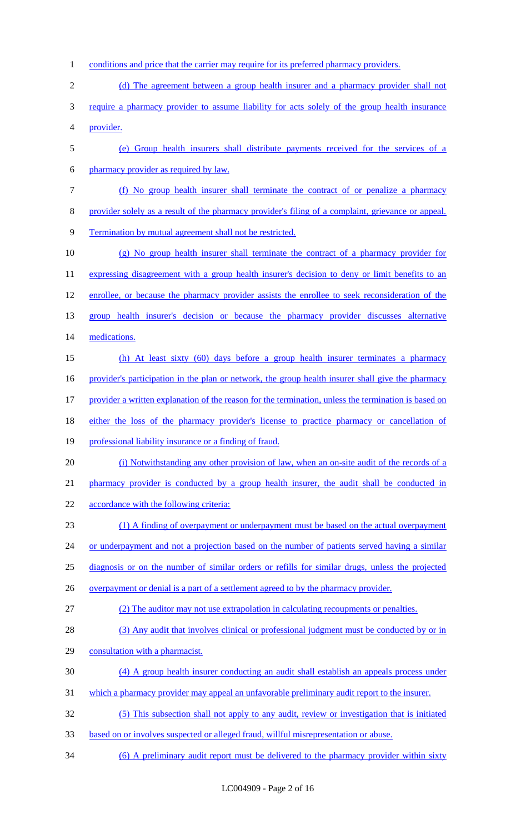- 1 conditions and price that the carrier may require for its preferred pharmacy providers.
- 2 (d) The agreement between a group health insurer and a pharmacy provider shall not
- require a pharmacy provider to assume liability for acts solely of the group health insurance provider.
- (e) Group health insurers shall distribute payments received for the services of a
- pharmacy provider as required by law.
- (f) No group health insurer shall terminate the contract of or penalize a pharmacy
- provider solely as a result of the pharmacy provider's filing of a complaint, grievance or appeal.
- Termination by mutual agreement shall not be restricted.
- (g) No group health insurer shall terminate the contract of a pharmacy provider for 11 expressing disagreement with a group health insurer's decision to deny or limit benefits to an enrollee, or because the pharmacy provider assists the enrollee to seek reconsideration of the group health insurer's decision or because the pharmacy provider discusses alternative medications.
- (h) At least sixty (60) days before a group health insurer terminates a pharmacy 16 provider's participation in the plan or network, the group health insurer shall give the pharmacy provider a written explanation of the reason for the termination, unless the termination is based on
- either the loss of the pharmacy provider's license to practice pharmacy or cancellation of
- professional liability insurance or a finding of fraud.
- (i) Notwithstanding any other provision of law, when an on-site audit of the records of a
- pharmacy provider is conducted by a group health insurer, the audit shall be conducted in
- 22 accordance with the following criteria:
- (1) A finding of overpayment or underpayment must be based on the actual overpayment
- 24 or underpayment and not a projection based on the number of patients served having a similar
- diagnosis or on the number of similar orders or refills for similar drugs, unless the projected
- 26 overpayment or denial is a part of a settlement agreed to by the pharmacy provider.
- (2) The auditor may not use extrapolation in calculating recoupments or penalties.
- 28 (3) Any audit that involves clinical or professional judgment must be conducted by or in
- consultation with a pharmacist.
- (4) A group health insurer conducting an audit shall establish an appeals process under
- which a pharmacy provider may appeal an unfavorable preliminary audit report to the insurer.
- (5) This subsection shall not apply to any audit, review or investigation that is initiated
- based on or involves suspected or alleged fraud, willful misrepresentation or abuse.
- (6) A preliminary audit report must be delivered to the pharmacy provider within sixty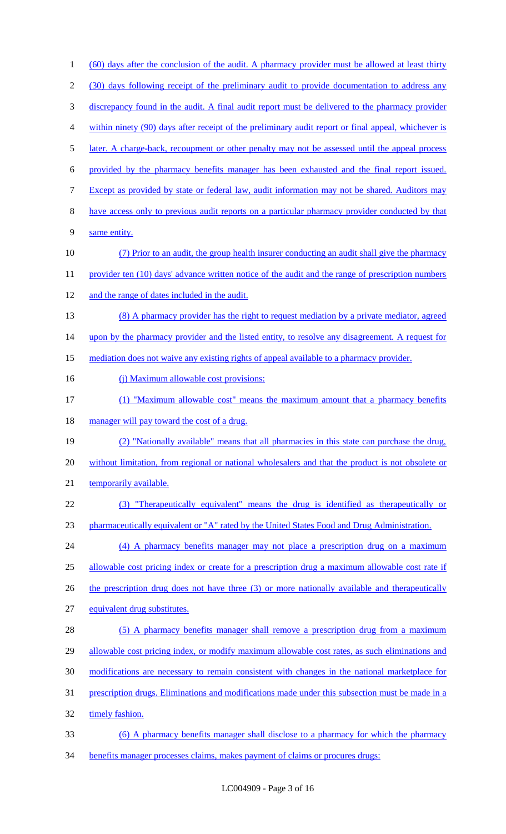(60) days after the conclusion of the audit. A pharmacy provider must be allowed at least thirty (30) days following receipt of the preliminary audit to provide documentation to address any discrepancy found in the audit. A final audit report must be delivered to the pharmacy provider within ninety (90) days after receipt of the preliminary audit report or final appeal, whichever is 5 later. A charge-back, recoupment or other penalty may not be assessed until the appeal process provided by the pharmacy benefits manager has been exhausted and the final report issued. Except as provided by state or federal law, audit information may not be shared. Auditors may have access only to previous audit reports on a particular pharmacy provider conducted by that same entity. (7) Prior to an audit, the group health insurer conducting an audit shall give the pharmacy 11 provider ten (10) days' advance written notice of the audit and the range of prescription numbers and the range of dates included in the audit. 13 (8) A pharmacy provider has the right to request mediation by a private mediator, agreed 14 upon by the pharmacy provider and the listed entity, to resolve any disagreement. A request for mediation does not waive any existing rights of appeal available to a pharmacy provider. 16 (j) Maximum allowable cost provisions: (1) "Maximum allowable cost" means the maximum amount that a pharmacy benefits 18 manager will pay toward the cost of a drug. (2) "Nationally available" means that all pharmacies in this state can purchase the drug, without limitation, from regional or national wholesalers and that the product is not obsolete or 21 temporarily available. (3) "Therapeutically equivalent" means the drug is identified as therapeutically or 23 pharmaceutically equivalent or "A" rated by the United States Food and Drug Administration. (4) A pharmacy benefits manager may not place a prescription drug on a maximum allowable cost pricing index or create for a prescription drug a maximum allowable cost rate if 26 the prescription drug does not have three (3) or more nationally available and therapeutically equivalent drug substitutes. 28 (5) A pharmacy benefits manager shall remove a prescription drug from a maximum 29 allowable cost pricing index, or modify maximum allowable cost rates, as such eliminations and modifications are necessary to remain consistent with changes in the national marketplace for prescription drugs. Eliminations and modifications made under this subsection must be made in a 32 timely fashion. (6) A pharmacy benefits manager shall disclose to a pharmacy for which the pharmacy benefits manager processes claims, makes payment of claims or procures drugs: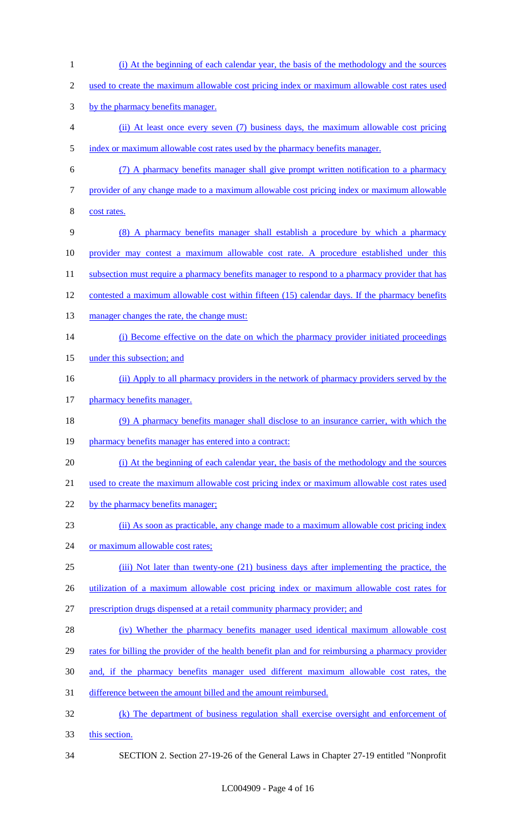(i) At the beginning of each calendar year, the basis of the methodology and the sources 2 used to create the maximum allowable cost pricing index or maximum allowable cost rates used by the pharmacy benefits manager. (ii) At least once every seven (7) business days, the maximum allowable cost pricing 5 index or maximum allowable cost rates used by the pharmacy benefits manager. (7) A pharmacy benefits manager shall give prompt written notification to a pharmacy provider of any change made to a maximum allowable cost pricing index or maximum allowable cost rates. (8) A pharmacy benefits manager shall establish a procedure by which a pharmacy provider may contest a maximum allowable cost rate. A procedure established under this 11 subsection must require a pharmacy benefits manager to respond to a pharmacy provider that has contested a maximum allowable cost within fifteen (15) calendar days. If the pharmacy benefits 13 manager changes the rate, the change must: 14 (i) Become effective on the date on which the pharmacy provider initiated proceedings 15 under this subsection; and (ii) Apply to all pharmacy providers in the network of pharmacy providers served by the 17 pharmacy benefits manager. (9) A pharmacy benefits manager shall disclose to an insurance carrier, with which the 19 pharmacy benefits manager has entered into a contract: (i) At the beginning of each calendar year, the basis of the methodology and the sources used to create the maximum allowable cost pricing index or maximum allowable cost rates used 22 by the pharmacy benefits manager; (ii) As soon as practicable, any change made to a maximum allowable cost pricing index 24 or maximum allowable cost rates; (iii) Not later than twenty-one (21) business days after implementing the practice, the utilization of a maximum allowable cost pricing index or maximum allowable cost rates for prescription drugs dispensed at a retail community pharmacy provider; and (iv) Whether the pharmacy benefits manager used identical maximum allowable cost 29 rates for billing the provider of the health benefit plan and for reimbursing a pharmacy provider and, if the pharmacy benefits manager used different maximum allowable cost rates, the difference between the amount billed and the amount reimbursed. (k) The department of business regulation shall exercise oversight and enforcement of this section. SECTION 2. Section 27-19-26 of the General Laws in Chapter 27-19 entitled "Nonprofit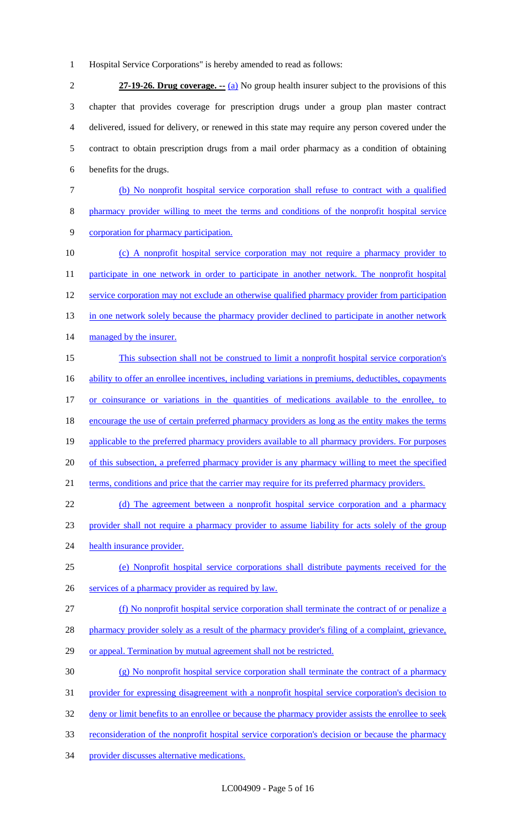1 Hospital Service Corporations" is hereby amended to read as follows:

 **27-19-26. Drug coverage. --** (a) No group health insurer subject to the provisions of this chapter that provides coverage for prescription drugs under a group plan master contract delivered, issued for delivery, or renewed in this state may require any person covered under the contract to obtain prescription drugs from a mail order pharmacy as a condition of obtaining benefits for the drugs.

- 7 (b) No nonprofit hospital service corporation shall refuse to contract with a qualified 8 pharmacy provider willing to meet the terms and conditions of the nonprofit hospital service 9 corporation for pharmacy participation.
- 10 (c) A nonprofit hospital service corporation may not require a pharmacy provider to 11 participate in one network in order to participate in another network. The nonprofit hospital 12 service corporation may not exclude an otherwise qualified pharmacy provider from participation 13 in one network solely because the pharmacy provider declined to participate in another network 14 managed by the insurer. 15 This subsection shall not be construed to limit a nonprofit hospital service corporation's
- 16 ability to offer an enrollee incentives, including variations in premiums, deductibles, copayments 17 or coinsurance or variations in the quantities of medications available to the enrollee, to 18 encourage the use of certain preferred pharmacy providers as long as the entity makes the terms 19 applicable to the preferred pharmacy providers available to all pharmacy providers. For purposes 20 of this subsection, a preferred pharmacy provider is any pharmacy willing to meet the specified 21 terms, conditions and price that the carrier may require for its preferred pharmacy providers.
- 22 (d) The agreement between a nonprofit hospital service corporation and a pharmacy 23 provider shall not require a pharmacy provider to assume liability for acts solely of the group 24 health insurance provider.
- 25 (e) Nonprofit hospital service corporations shall distribute payments received for the
- 26 services of a pharmacy provider as required by law.
- 27 (f) No nonprofit hospital service corporation shall terminate the contract of or penalize a
- 28 pharmacy provider solely as a result of the pharmacy provider's filing of a complaint, grievance,
- 29 or appeal. Termination by mutual agreement shall not be restricted.
- 30 (g) No nonprofit hospital service corporation shall terminate the contract of a pharmacy
- 31 provider for expressing disagreement with a nonprofit hospital service corporation's decision to
- 32 deny or limit benefits to an enrollee or because the pharmacy provider assists the enrollee to seek
- 33 reconsideration of the nonprofit hospital service corporation's decision or because the pharmacy
- 34 provider discusses alternative medications.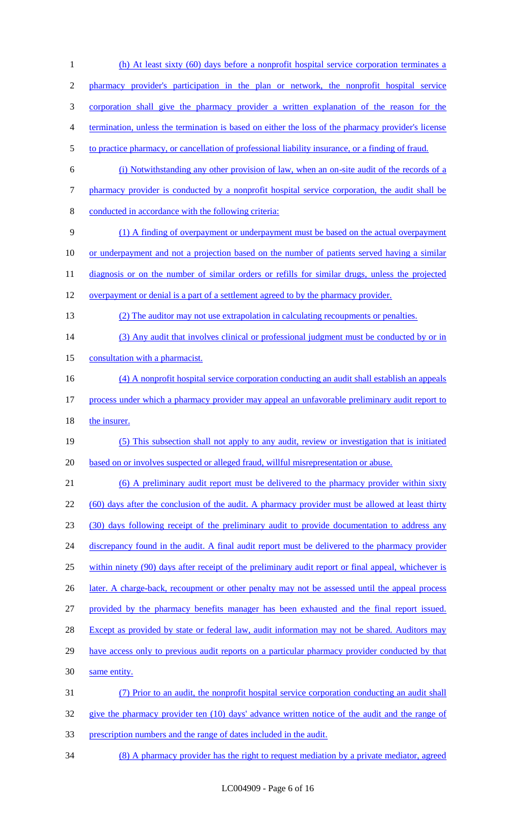(h) At least sixty (60) days before a nonprofit hospital service corporation terminates a pharmacy provider's participation in the plan or network, the nonprofit hospital service corporation shall give the pharmacy provider a written explanation of the reason for the termination, unless the termination is based on either the loss of the pharmacy provider's license to practice pharmacy, or cancellation of professional liability insurance, or a finding of fraud. (i) Notwithstanding any other provision of law, when an on-site audit of the records of a pharmacy provider is conducted by a nonprofit hospital service corporation, the audit shall be conducted in accordance with the following criteria: (1) A finding of overpayment or underpayment must be based on the actual overpayment or underpayment and not a projection based on the number of patients served having a similar 11 diagnosis or on the number of similar orders or refills for similar drugs, unless the projected 12 overpayment or denial is a part of a settlement agreed to by the pharmacy provider. (2) The auditor may not use extrapolation in calculating recoupments or penalties. 14 (3) Any audit that involves clinical or professional judgment must be conducted by or in 15 consultation with a pharmacist. (4) A nonprofit hospital service corporation conducting an audit shall establish an appeals process under which a pharmacy provider may appeal an unfavorable preliminary audit report to 18 the insurer. (5) This subsection shall not apply to any audit, review or investigation that is initiated based on or involves suspected or alleged fraud, willful misrepresentation or abuse. (6) A preliminary audit report must be delivered to the pharmacy provider within sixty 22 (60) days after the conclusion of the audit. A pharmacy provider must be allowed at least thirty (30) days following receipt of the preliminary audit to provide documentation to address any 24 discrepancy found in the audit. A final audit report must be delivered to the pharmacy provider within ninety (90) days after receipt of the preliminary audit report or final appeal, whichever is 26 later. A charge-back, recoupment or other penalty may not be assessed until the appeal process provided by the pharmacy benefits manager has been exhausted and the final report issued. 28 Except as provided by state or federal law, audit information may not be shared. Auditors may 29 have access only to previous audit reports on a particular pharmacy provider conducted by that same entity. (7) Prior to an audit, the nonprofit hospital service corporation conducting an audit shall give the pharmacy provider ten (10) days' advance written notice of the audit and the range of prescription numbers and the range of dates included in the audit.

(8) A pharmacy provider has the right to request mediation by a private mediator, agreed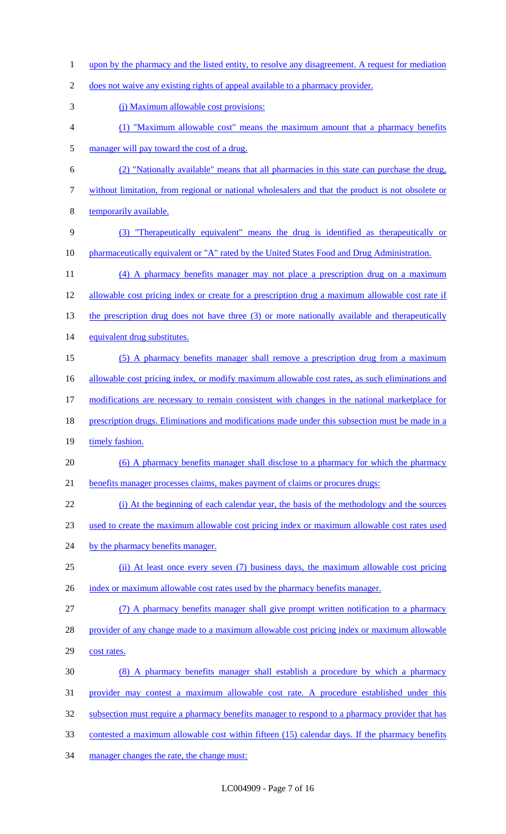1 upon by the pharmacy and the listed entity, to resolve any disagreement. A request for mediation

does not waive any existing rights of appeal available to a pharmacy provider.

- (j) Maximum allowable cost provisions:
- (1) "Maximum allowable cost" means the maximum amount that a pharmacy benefits manager will pay toward the cost of a drug.
- (2) "Nationally available" means that all pharmacies in this state can purchase the drug,
- without limitation, from regional or national wholesalers and that the product is not obsolete or
- temporarily available.
- (3) "Therapeutically equivalent" means the drug is identified as therapeutically or 10 pharmaceutically equivalent or "A" rated by the United States Food and Drug Administration.
- (4) A pharmacy benefits manager may not place a prescription drug on a maximum
- allowable cost pricing index or create for a prescription drug a maximum allowable cost rate if
- 13 the prescription drug does not have three (3) or more nationally available and therapeutically
- equivalent drug substitutes.
- (5) A pharmacy benefits manager shall remove a prescription drug from a maximum
- 16 allowable cost pricing index, or modify maximum allowable cost rates, as such eliminations and
- modifications are necessary to remain consistent with changes in the national marketplace for
- 18 prescription drugs. Eliminations and modifications made under this subsection must be made in a
- 19 timely fashion.
- 20 (6) A pharmacy benefits manager shall disclose to a pharmacy for which the pharmacy
- benefits manager processes claims, makes payment of claims or procures drugs:
- (i) At the beginning of each calendar year, the basis of the methodology and the sources
- used to create the maximum allowable cost pricing index or maximum allowable cost rates used
- 24 by the pharmacy benefits manager.
- (ii) At least once every seven (7) business days, the maximum allowable cost pricing
- 26 index or maximum allowable cost rates used by the pharmacy benefits manager.

(7) A pharmacy benefits manager shall give prompt written notification to a pharmacy

- 28 provider of any change made to a maximum allowable cost pricing index or maximum allowable
- cost rates.
- (8) A pharmacy benefits manager shall establish a procedure by which a pharmacy
- provider may contest a maximum allowable cost rate. A procedure established under this
- 32 subsection must require a pharmacy benefits manager to respond to a pharmacy provider that has
- contested a maximum allowable cost within fifteen (15) calendar days. If the pharmacy benefits
- manager changes the rate, the change must: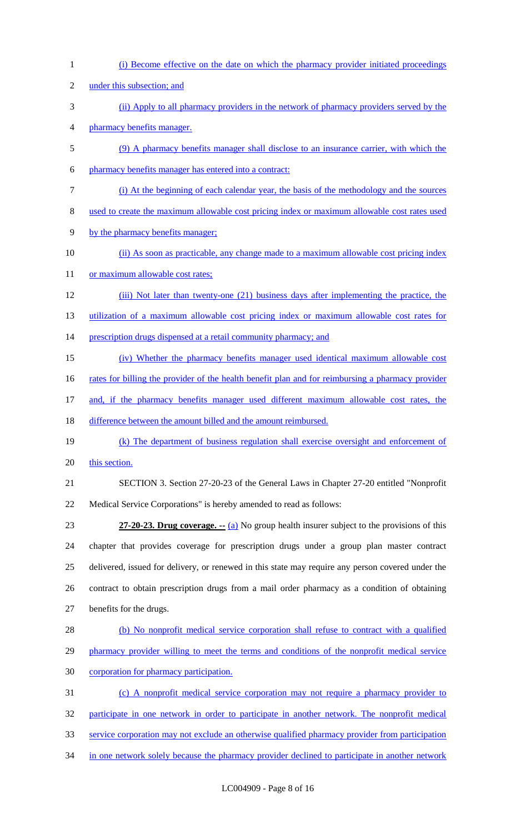(i) Become effective on the date on which the pharmacy provider initiated proceedings under this subsection; and (ii) Apply to all pharmacy providers in the network of pharmacy providers served by the pharmacy benefits manager. (9) A pharmacy benefits manager shall disclose to an insurance carrier, with which the pharmacy benefits manager has entered into a contract: (i) At the beginning of each calendar year, the basis of the methodology and the sources used to create the maximum allowable cost pricing index or maximum allowable cost rates used by the pharmacy benefits manager; (ii) As soon as practicable, any change made to a maximum allowable cost pricing index 11 or maximum allowable cost rates; (iii) Not later than twenty-one (21) business days after implementing the practice, the utilization of a maximum allowable cost pricing index or maximum allowable cost rates for 14 prescription drugs dispensed at a retail community pharmacy; and (iv) Whether the pharmacy benefits manager used identical maximum allowable cost 16 rates for billing the provider of the health benefit plan and for reimbursing a pharmacy provider and, if the pharmacy benefits manager used different maximum allowable cost rates, the 18 difference between the amount billed and the amount reimbursed. (k) The department of business regulation shall exercise oversight and enforcement of 20 this section. SECTION 3. Section 27-20-23 of the General Laws in Chapter 27-20 entitled "Nonprofit Medical Service Corporations" is hereby amended to read as follows: **27-20-23. Drug coverage. --** (a) No group health insurer subject to the provisions of this chapter that provides coverage for prescription drugs under a group plan master contract delivered, issued for delivery, or renewed in this state may require any person covered under the contract to obtain prescription drugs from a mail order pharmacy as a condition of obtaining benefits for the drugs. (b) No nonprofit medical service corporation shall refuse to contract with a qualified 29 pharmacy provider willing to meet the terms and conditions of the nonprofit medical service corporation for pharmacy participation. (c) A nonprofit medical service corporation may not require a pharmacy provider to participate in one network in order to participate in another network. The nonprofit medical service corporation may not exclude an otherwise qualified pharmacy provider from participation 34 in one network solely because the pharmacy provider declined to participate in another network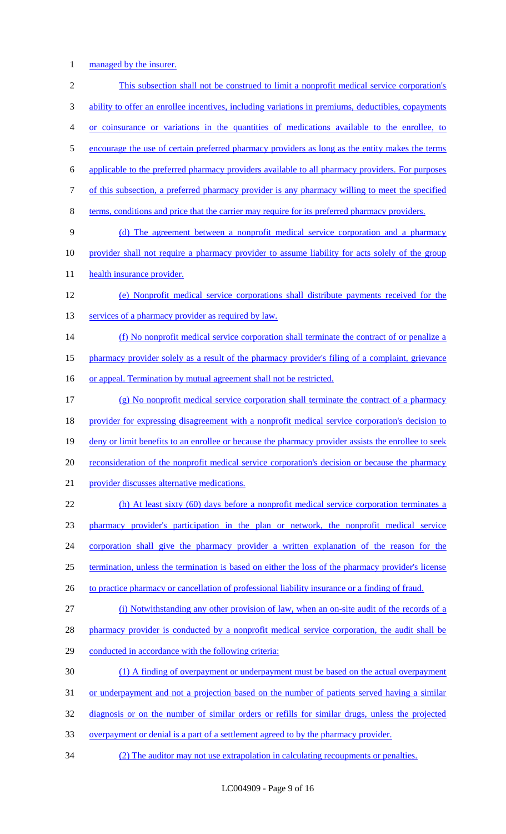managed by the insurer.

 This subsection shall not be construed to limit a nonprofit medical service corporation's ability to offer an enrollee incentives, including variations in premiums, deductibles, copayments or coinsurance or variations in the quantities of medications available to the enrollee, to 5 encourage the use of certain preferred pharmacy providers as long as the entity makes the terms applicable to the preferred pharmacy providers available to all pharmacy providers. For purposes of this subsection, a preferred pharmacy provider is any pharmacy willing to meet the specified terms, conditions and price that the carrier may require for its preferred pharmacy providers. (d) The agreement between a nonprofit medical service corporation and a pharmacy provider shall not require a pharmacy provider to assume liability for acts solely of the group 11 health insurance provider. (e) Nonprofit medical service corporations shall distribute payments received for the 13 services of a pharmacy provider as required by law. 14 (f) No nonprofit medical service corporation shall terminate the contract of or penalize a pharmacy provider solely as a result of the pharmacy provider's filing of a complaint, grievance 16 or appeal. Termination by mutual agreement shall not be restricted. (g) No nonprofit medical service corporation shall terminate the contract of a pharmacy provider for expressing disagreement with a nonprofit medical service corporation's decision to 19 deny or limit benefits to an enrollee or because the pharmacy provider assists the enrollee to seek 20 reconsideration of the nonprofit medical service corporation's decision or because the pharmacy provider discusses alternative medications. (h) At least sixty (60) days before a nonprofit medical service corporation terminates a pharmacy provider's participation in the plan or network, the nonprofit medical service corporation shall give the pharmacy provider a written explanation of the reason for the termination, unless the termination is based on either the loss of the pharmacy provider's license 26 to practice pharmacy or cancellation of professional liability insurance or a finding of fraud. (i) Notwithstanding any other provision of law, when an on-site audit of the records of a 28 pharmacy provider is conducted by a nonprofit medical service corporation, the audit shall be conducted in accordance with the following criteria: (1) A finding of overpayment or underpayment must be based on the actual overpayment 31 or underpayment and not a projection based on the number of patients served having a similar diagnosis or on the number of similar orders or refills for similar drugs, unless the projected overpayment or denial is a part of a settlement agreed to by the pharmacy provider. (2) The auditor may not use extrapolation in calculating recoupments or penalties.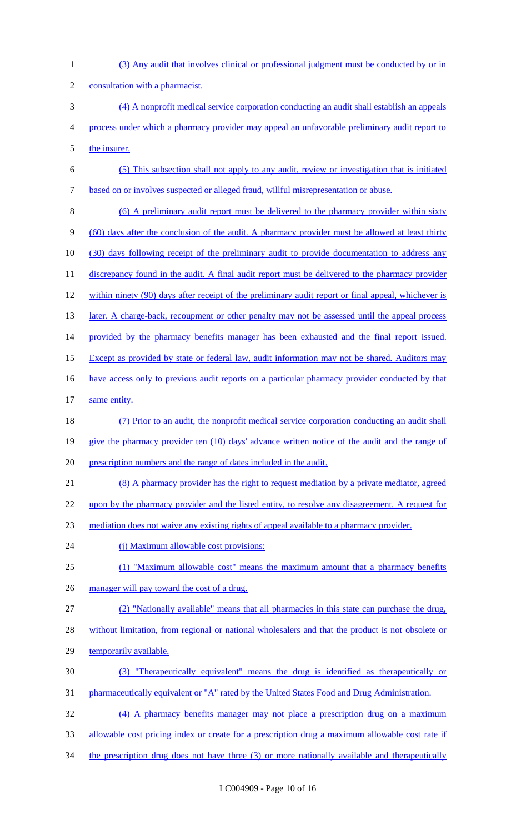| $\mathbf{1}$   | (3) Any audit that involves clinical or professional judgment must be conducted by or in            |
|----------------|-----------------------------------------------------------------------------------------------------|
| $\overline{c}$ | consultation with a pharmacist.                                                                     |
| 3              | (4) A nonprofit medical service corporation conducting an audit shall establish an appeals          |
| 4              | process under which a pharmacy provider may appeal an unfavorable preliminary audit report to       |
| 5              | the insurer.                                                                                        |
| 6              | (5) This subsection shall not apply to any audit, review or investigation that is initiated         |
| $\tau$         | based on or involves suspected or alleged fraud, willful misrepresentation or abuse.                |
| 8              | (6) A preliminary audit report must be delivered to the pharmacy provider within sixty              |
| 9              | (60) days after the conclusion of the audit. A pharmacy provider must be allowed at least thirty    |
| 10             | (30) days following receipt of the preliminary audit to provide documentation to address any        |
| 11             | discrepancy found in the audit. A final audit report must be delivered to the pharmacy provider     |
| 12             | within ninety (90) days after receipt of the preliminary audit report or final appeal, whichever is |
| 13             | later. A charge-back, recoupment or other penalty may not be assessed until the appeal process      |
| 14             | provided by the pharmacy benefits manager has been exhausted and the final report issued.           |
| 15             | Except as provided by state or federal law, audit information may not be shared. Auditors may       |
| 16             | have access only to previous audit reports on a particular pharmacy provider conducted by that      |
| 17             | same entity.                                                                                        |
| 18             | (7) Prior to an audit, the nonprofit medical service corporation conducting an audit shall          |
| 19             | give the pharmacy provider ten (10) days' advance written notice of the audit and the range of      |
| 20             | prescription numbers and the range of dates included in the audit.                                  |
| 21             | (8) A pharmacy provider has the right to request mediation by a private mediator, agreed            |
| 22             | upon by the pharmacy provider and the listed entity, to resolve any disagreement. A request for     |
| 23             | mediation does not waive any existing rights of appeal available to a pharmacy provider.            |
| 24             | (i) Maximum allowable cost provisions:                                                              |
| 25             | (1) "Maximum allowable cost" means the maximum amount that a pharmacy benefits                      |
| 26             | manager will pay toward the cost of a drug.                                                         |
| 27             | (2) "Nationally available" means that all pharmacies in this state can purchase the drug,           |
| 28             | without limitation, from regional or national wholesalers and that the product is not obsolete or   |
| 29             | temporarily available.                                                                              |
| 30             | (3) "Therapeutically equivalent" means the drug is identified as therapeutically or                 |
| 31             | pharmaceutically equivalent or "A" rated by the United States Food and Drug Administration.         |
| 32             | (4) A pharmacy benefits manager may not place a prescription drug on a maximum                      |
| 33             | allowable cost pricing index or create for a prescription drug a maximum allowable cost rate if     |

34 the prescription drug does not have three (3) or more nationally available and therapeutically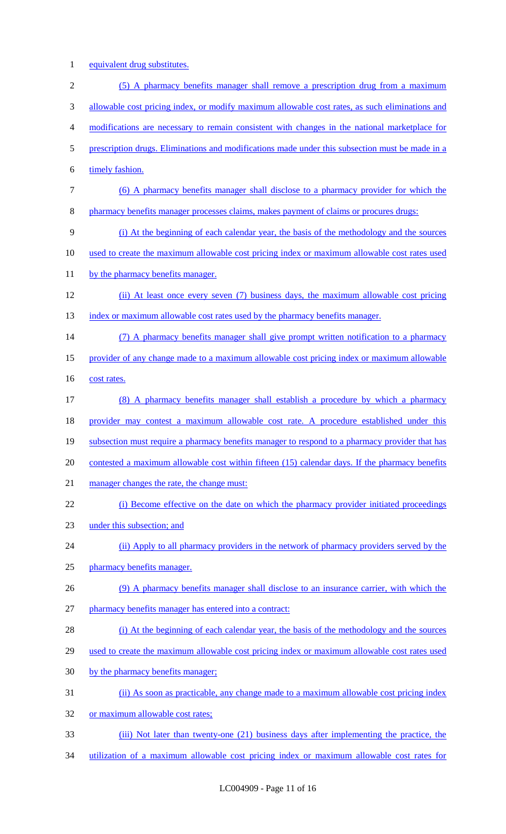1 equivalent drug substitutes.

| $\overline{2}$ | (5) A pharmacy benefits manager shall remove a prescription drug from a maximum                 |
|----------------|-------------------------------------------------------------------------------------------------|
| 3              | allowable cost pricing index, or modify maximum allowable cost rates, as such eliminations and  |
| 4              | modifications are necessary to remain consistent with changes in the national marketplace for   |
| 5              | prescription drugs. Eliminations and modifications made under this subsection must be made in a |
| 6              | timely fashion.                                                                                 |
| 7              | (6) A pharmacy benefits manager shall disclose to a pharmacy provider for which the             |
| 8              | pharmacy benefits manager processes claims, makes payment of claims or procures drugs:          |
| 9              | (i) At the beginning of each calendar year, the basis of the methodology and the sources        |
| 10             | used to create the maximum allowable cost pricing index or maximum allowable cost rates used    |
| 11             | by the pharmacy benefits manager.                                                               |
| 12             | (ii) At least once every seven (7) business days, the maximum allowable cost pricing            |
| 13             | index or maximum allowable cost rates used by the pharmacy benefits manager.                    |
| 14             | (7) A pharmacy benefits manager shall give prompt written notification to a pharmacy            |
| 15             | provider of any change made to a maximum allowable cost pricing index or maximum allowable      |
| 16             | cost rates.                                                                                     |
| 17             | (8) A pharmacy benefits manager shall establish a procedure by which a pharmacy                 |
| 18             | provider may contest a maximum allowable cost rate. A procedure established under this          |
| 19             | subsection must require a pharmacy benefits manager to respond to a pharmacy provider that has  |
| 20             | contested a maximum allowable cost within fifteen (15) calendar days. If the pharmacy benefits  |
| 21             | manager changes the rate, the change must:                                                      |
| 22             | (i) Become effective on the date on which the pharmacy provider initiated proceedings           |
| 23             | under this subsection; and                                                                      |
| 24             | (ii) Apply to all pharmacy providers in the network of pharmacy providers served by the         |
| 25             | pharmacy benefits manager.                                                                      |
| 26             | (9) A pharmacy benefits manager shall disclose to an insurance carrier, with which the          |
| 27             | pharmacy benefits manager has entered into a contract:                                          |
| 28             | (i) At the beginning of each calendar year, the basis of the methodology and the sources        |
| 29             | used to create the maximum allowable cost pricing index or maximum allowable cost rates used    |
| 30             | by the pharmacy benefits manager;                                                               |
| 31             | (ii) As soon as practicable, any change made to a maximum allowable cost pricing index          |
| 32             | or maximum allowable cost rates;                                                                |
| 33             | (iii) Not later than twenty-one (21) business days after implementing the practice, the         |

34 utilization of a maximum allowable cost pricing index or maximum allowable cost rates for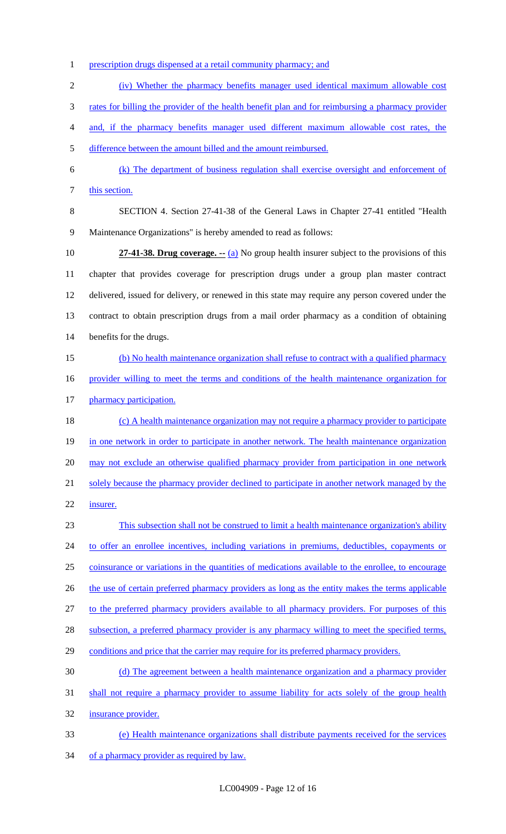1 prescription drugs dispensed at a retail community pharmacy; and

(iv) Whether the pharmacy benefits manager used identical maximum allowable cost

rates for billing the provider of the health benefit plan and for reimbursing a pharmacy provider

and, if the pharmacy benefits manager used different maximum allowable cost rates, the

difference between the amount billed and the amount reimbursed.

 (k) The department of business regulation shall exercise oversight and enforcement of 7 this section.

 SECTION 4. Section 27-41-38 of the General Laws in Chapter 27-41 entitled "Health Maintenance Organizations" is hereby amended to read as follows:

 **27-41-38. Drug coverage. --** (a) No group health insurer subject to the provisions of this chapter that provides coverage for prescription drugs under a group plan master contract delivered, issued for delivery, or renewed in this state may require any person covered under the contract to obtain prescription drugs from a mail order pharmacy as a condition of obtaining benefits for the drugs.

 (b) No health maintenance organization shall refuse to contract with a qualified pharmacy provider willing to meet the terms and conditions of the health maintenance organization for 17 pharmacy participation.

18 (c) A health maintenance organization may not require a pharmacy provider to participate 19 in one network in order to participate in another network. The health maintenance organization 20 may not exclude an otherwise qualified pharmacy provider from participation in one network 21 solely because the pharmacy provider declined to participate in another network managed by the insurer.

 This subsection shall not be construed to limit a health maintenance organization's ability to offer an enrollee incentives, including variations in premiums, deductibles, copayments or coinsurance or variations in the quantities of medications available to the enrollee, to encourage 26 the use of certain preferred pharmacy providers as long as the entity makes the terms applicable to the preferred pharmacy providers available to all pharmacy providers. For purposes of this 28 subsection, a preferred pharmacy provider is any pharmacy willing to meet the specified terms, 29 conditions and price that the carrier may require for its preferred pharmacy providers. (d) The agreement between a health maintenance organization and a pharmacy provider

 shall not require a pharmacy provider to assume liability for acts solely of the group health insurance provider.

 (e) Health maintenance organizations shall distribute payments received for the services 34 of a pharmacy provider as required by law.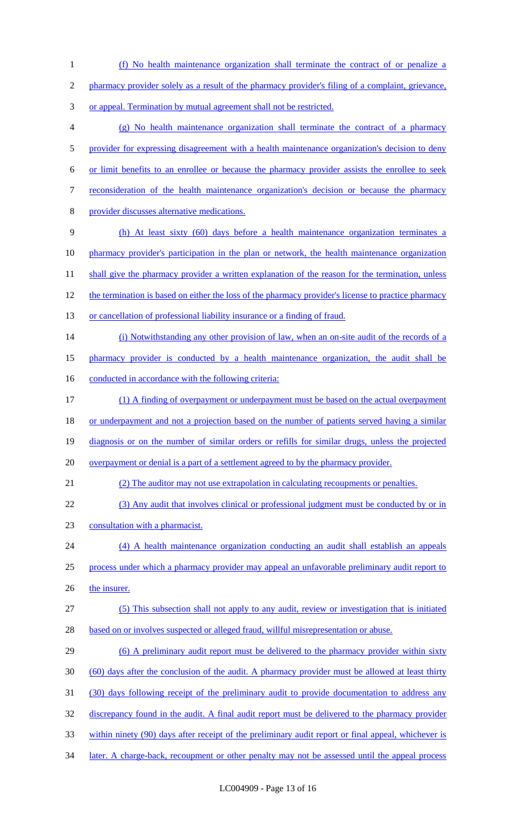(f) No health maintenance organization shall terminate the contract of or penalize a pharmacy provider solely as a result of the pharmacy provider's filing of a complaint, grievance, or appeal. Termination by mutual agreement shall not be restricted. (g) No health maintenance organization shall terminate the contract of a pharmacy 5 provider for expressing disagreement with a health maintenance organization's decision to deny or limit benefits to an enrollee or because the pharmacy provider assists the enrollee to seek reconsideration of the health maintenance organization's decision or because the pharmacy provider discusses alternative medications. (h) At least sixty (60) days before a health maintenance organization terminates a pharmacy provider's participation in the plan or network, the health maintenance organization 11 shall give the pharmacy provider a written explanation of the reason for the termination, unless the termination is based on either the loss of the pharmacy provider's license to practice pharmacy 13 or cancellation of professional liability insurance or a finding of fraud. 14 (i) Notwithstanding any other provision of law, when an on-site audit of the records of a pharmacy provider is conducted by a health maintenance organization, the audit shall be 16 conducted in accordance with the following criteria: (1) A finding of overpayment or underpayment must be based on the actual overpayment or underpayment and not a projection based on the number of patients served having a similar diagnosis or on the number of similar orders or refills for similar drugs, unless the projected 20 overpayment or denial is a part of a settlement agreed to by the pharmacy provider. (2) The auditor may not use extrapolation in calculating recoupments or penalties. (3) Any audit that involves clinical or professional judgment must be conducted by or in consultation with a pharmacist. (4) A health maintenance organization conducting an audit shall establish an appeals process under which a pharmacy provider may appeal an unfavorable preliminary audit report to 26 the insurer. (5) This subsection shall not apply to any audit, review or investigation that is initiated 28 based on or involves suspected or alleged fraud, willful misrepresentation or abuse. 29 (6) A preliminary audit report must be delivered to the pharmacy provider within sixty (60) days after the conclusion of the audit. A pharmacy provider must be allowed at least thirty (30) days following receipt of the preliminary audit to provide documentation to address any 32 discrepancy found in the audit. A final audit report must be delivered to the pharmacy provider within ninety (90) days after receipt of the preliminary audit report or final appeal, whichever is 34 later. A charge-back, recoupment or other penalty may not be assessed until the appeal process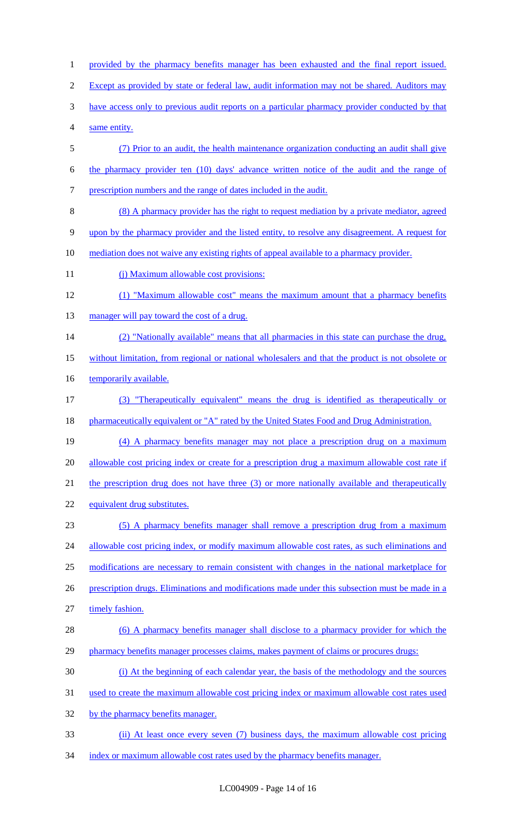1 provided by the pharmacy benefits manager has been exhausted and the final report issued. 2 Except as provided by state or federal law, audit information may not be shared. Auditors may have access only to previous audit reports on a particular pharmacy provider conducted by that same entity. (7) Prior to an audit, the health maintenance organization conducting an audit shall give the pharmacy provider ten (10) days' advance written notice of the audit and the range of prescription numbers and the range of dates included in the audit. (8) A pharmacy provider has the right to request mediation by a private mediator, agreed upon by the pharmacy provider and the listed entity, to resolve any disagreement. A request for mediation does not waive any existing rights of appeal available to a pharmacy provider. 11 (j) Maximum allowable cost provisions: (1) "Maximum allowable cost" means the maximum amount that a pharmacy benefits 13 manager will pay toward the cost of a drug. (2) "Nationally available" means that all pharmacies in this state can purchase the drug, without limitation, from regional or national wholesalers and that the product is not obsolete or 16 temporarily available. (3) "Therapeutically equivalent" means the drug is identified as therapeutically or 18 pharmaceutically equivalent or "A" rated by the United States Food and Drug Administration. (4) A pharmacy benefits manager may not place a prescription drug on a maximum 20 allowable cost pricing index or create for a prescription drug a maximum allowable cost rate if 21 the prescription drug does not have three (3) or more nationally available and therapeutically equivalent drug substitutes. (5) A pharmacy benefits manager shall remove a prescription drug from a maximum 24 allowable cost pricing index, or modify maximum allowable cost rates, as such eliminations and modifications are necessary to remain consistent with changes in the national marketplace for 26 prescription drugs. Eliminations and modifications made under this subsection must be made in a timely fashion. 28 (6) A pharmacy benefits manager shall disclose to a pharmacy provider for which the 29 pharmacy benefits manager processes claims, makes payment of claims or procures drugs: (i) At the beginning of each calendar year, the basis of the methodology and the sources used to create the maximum allowable cost pricing index or maximum allowable cost rates used 32 by the pharmacy benefits manager. (ii) At least once every seven (7) business days, the maximum allowable cost pricing index or maximum allowable cost rates used by the pharmacy benefits manager.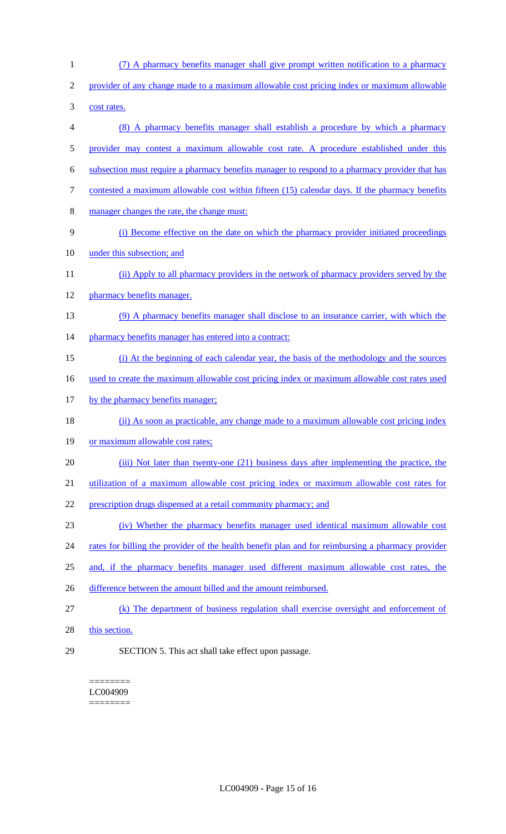- (7) A pharmacy benefits manager shall give prompt written notification to a pharmacy provider of any change made to a maximum allowable cost pricing index or maximum allowable cost rates. (8) A pharmacy benefits manager shall establish a procedure by which a pharmacy provider may contest a maximum allowable cost rate. A procedure established under this subsection must require a pharmacy benefits manager to respond to a pharmacy provider that has 7 contested a maximum allowable cost within fifteen (15) calendar days. If the pharmacy benefits manager changes the rate, the change must: (i) Become effective on the date on which the pharmacy provider initiated proceedings under this subsection; and (ii) Apply to all pharmacy providers in the network of pharmacy providers served by the pharmacy benefits manager. (9) A pharmacy benefits manager shall disclose to an insurance carrier, with which the 14 pharmacy benefits manager has entered into a contract: (i) At the beginning of each calendar year, the basis of the methodology and the sources used to create the maximum allowable cost pricing index or maximum allowable cost rates used 17 by the pharmacy benefits manager; (ii) As soon as practicable, any change made to a maximum allowable cost pricing index 19 or maximum allowable cost rates; 20 (iii) Not later than twenty-one (21) business days after implementing the practice, the utilization of a maximum allowable cost pricing index or maximum allowable cost rates for prescription drugs dispensed at a retail community pharmacy; and (iv) Whether the pharmacy benefits manager used identical maximum allowable cost 24 rates for billing the provider of the health benefit plan and for reimbursing a pharmacy provider and, if the pharmacy benefits manager used different maximum allowable cost rates, the 26 difference between the amount billed and the amount reimbursed. (k) The department of business regulation shall exercise oversight and enforcement of 28 this section.
- 

SECTION 5. This act shall take effect upon passage.

======== LC004909 ========